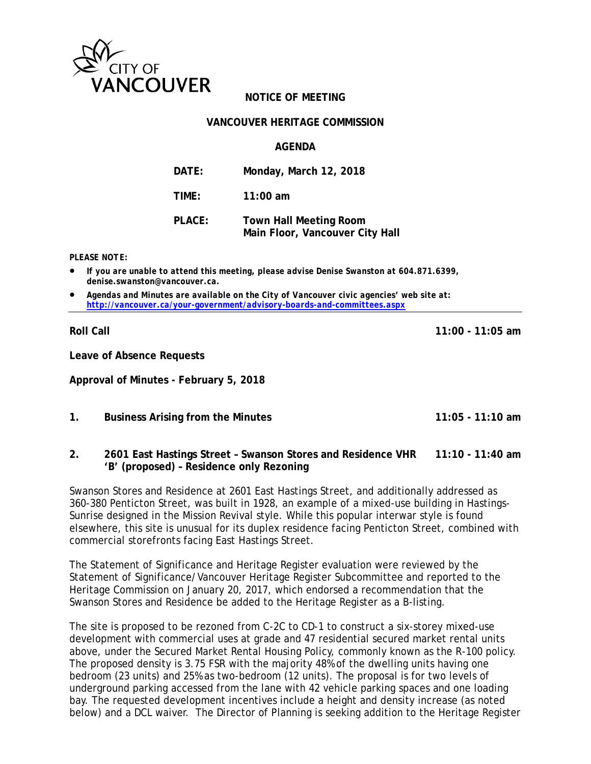

## **NOTICE OF MEETING**

#### **VANCOUVER HERITAGE COMMISSION**

#### **AGENDA**

| DATE:  | Monday, March 12, 2018                                           |
|--------|------------------------------------------------------------------|
| TIME:  | $11:00$ am                                                       |
| PLACE: | <b>Town Hall Meeting Room</b><br>Main Floor, Vancouver City Hall |

#### *PLEASE NOTE:*

- *If you are unable to attend this meeting, please advise Denise Swanston at 604.871.6399, denise.swanston@vancouver.ca.*
- *Agendas and Minutes are available on the City of Vancouver civic agencies' web site at: <http://vancouver.ca/your-government/advisory-boards-and-committees.aspx>*

**Roll Call 11:00 - 11:05 am**

**Leave of Absence Requests**

**Approval of Minutes - February 5, 2018**

**1. Business Arising from the Minutes 11:05 - 11:10 am**

#### **2. 2601 East Hastings Street – Swanson Stores and Residence VHR 11:10 - 11:40 am 'B' (proposed) – Residence only Rezoning**

Swanson Stores and Residence at 2601 East Hastings Street, and additionally addressed as 360-380 Penticton Street, was built in 1928, an example of a mixed-use building in Hastings-Sunrise designed in the Mission Revival style. While this popular interwar style is found elsewhere, this site is unusual for its duplex residence facing Penticton Street, combined with commercial storefronts facing East Hastings Street.

The Statement of Significance and Heritage Register evaluation were reviewed by the Statement of Significance/Vancouver Heritage Register Subcommittee and reported to the Heritage Commission on January 20, 2017, which endorsed a recommendation that the Swanson Stores and Residence be added to the Heritage Register as a B-listing.

The site is proposed to be rezoned from C-2C to CD-1 to construct a six-storey mixed-use development with commercial uses at grade and 47 residential secured market rental units above, under the Secured Market Rental Housing Policy, commonly known as the R-100 policy. The proposed density is 3.75 FSR with the majority 48% of the dwelling units having one bedroom (23 units) and 25% as two-bedroom (12 units). The proposal is for two levels of underground parking accessed from the lane with 42 vehicle parking spaces and one loading bay. The requested development incentives include a height and density increase (as noted below) and a DCL waiver. The Director of Planning is seeking addition to the Heritage Register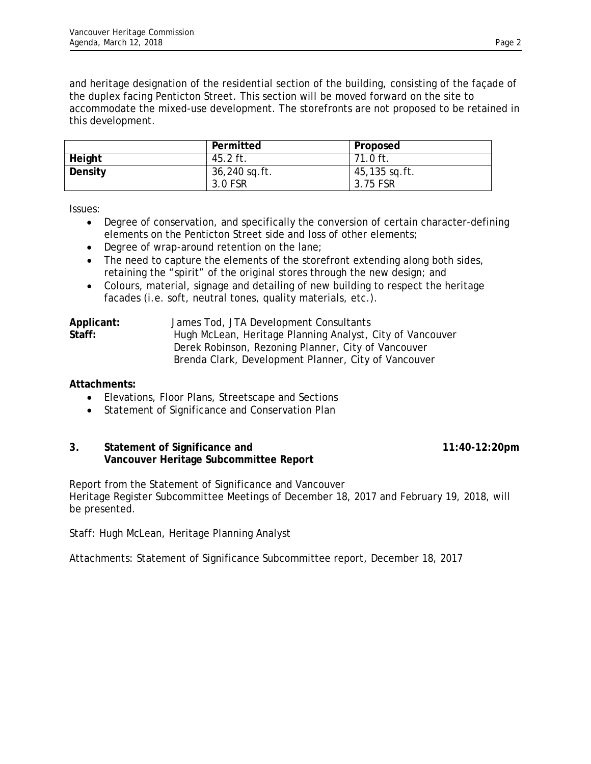and heritage designation of the residential section of the building, consisting of the façade of the duplex facing Penticton Street. This section will be moved forward on the site to accommodate the mixed-use development. The storefronts are not proposed to be retained in this development.

|         | Permitted                | Proposed                  |
|---------|--------------------------|---------------------------|
| Height  | 45.2 ft.                 | $71.0 \text{ ft.}$        |
| Density | 36,240 sq.ft.<br>3.0 FSR | 45,135 sq.ft.<br>3.75 FSR |

Issues:

- Degree of conservation, and specifically the conversion of certain character-defining elements on the Penticton Street side and loss of other elements;
- Degree of wrap-around retention on the lane;
- The need to capture the elements of the storefront extending along both sides, retaining the "spirit" of the original stores through the new design; and
- Colours, material, signage and detailing of new building to respect the heritage facades (i.e. soft, neutral tones, quality materials, etc.).

| Applicant: | James Tod, JTA Development Consultants                    |
|------------|-----------------------------------------------------------|
| Staff:     | Hugh McLean, Heritage Planning Analyst, City of Vancouver |
|            | Derek Robinson, Rezoning Planner, City of Vancouver       |
|            | Brenda Clark, Development Planner, City of Vancouver      |

## **Attachments:**

- Elevations, Floor Plans, Streetscape and Sections
- Statement of Significance and Conservation Plan

### **3. Statement of Significance and 11:40-12:20pm Vancouver Heritage Subcommittee Report**

Report from the Statement of Significance and Vancouver Heritage Register Subcommittee Meetings of December 18, 2017 and February 19, 2018, will be presented.

Staff: Hugh McLean, Heritage Planning Analyst

Attachments: Statement of Significance Subcommittee report, December 18, 2017